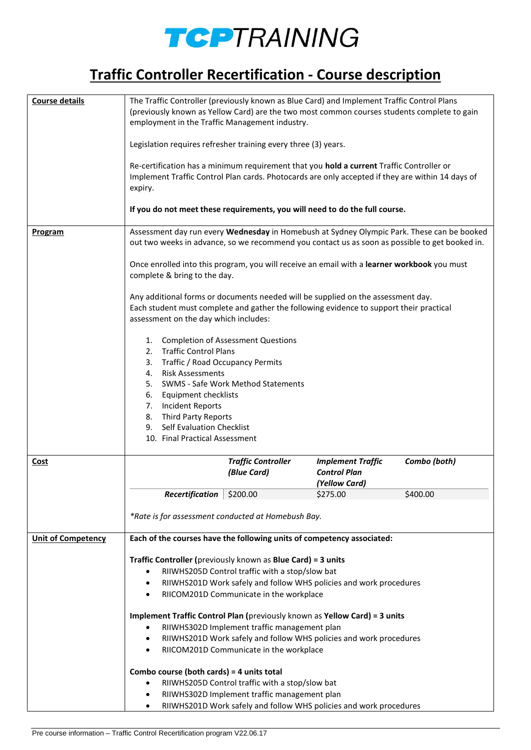

## **Traffic Controller Recertification - Course description**

| Course details            | The Traffic Controller (previously known as Blue Card) and Implement Traffic Control Plans<br>(previously known as Yellow Card) are the two most common courses students complete to gain<br>employment in the Traffic Management industry.<br>Legislation requires refresher training every three (3) years.<br>Re-certification has a minimum requirement that you hold a current Traffic Controller or<br>Implement Traffic Control Plan cards. Photocards are only accepted if they are within 14 days of<br>expiry.<br>If you do not meet these requirements, you will need to do the full course. |                                                                                                 |                                                                    |              |
|---------------------------|---------------------------------------------------------------------------------------------------------------------------------------------------------------------------------------------------------------------------------------------------------------------------------------------------------------------------------------------------------------------------------------------------------------------------------------------------------------------------------------------------------------------------------------------------------------------------------------------------------|-------------------------------------------------------------------------------------------------|--------------------------------------------------------------------|--------------|
| <b>Program</b>            | Assessment day run every Wednesday in Homebush at Sydney Olympic Park. These can be booked<br>out two weeks in advance, so we recommend you contact us as soon as possible to get booked in.<br>Once enrolled into this program, you will receive an email with a learner workbook you must<br>complete & bring to the day.<br>Any additional forms or documents needed will be supplied on the assessment day.<br>Each student must complete and gather the following evidence to support their practical<br>assessment on the day which includes:                                                     |                                                                                                 |                                                                    |              |
|                           | 1. Completion of Assessment Questions<br>2. Traffic Control Plans<br>Traffic / Road Occupancy Permits<br>3.<br>4. Risk Assessments<br>6. Equipment checklists<br>7. Incident Reports<br>8. Third Party Reports<br>9. Self Evaluation Checklist<br>10. Final Practical Assessment                                                                                                                                                                                                                                                                                                                        | 5. SWMS - Safe Work Method Statements                                                           |                                                                    |              |
| Cost                      |                                                                                                                                                                                                                                                                                                                                                                                                                                                                                                                                                                                                         | <b>Traffic Controller</b><br>(Blue Card)                                                        | <b>Implement Traffic</b><br><b>Control Plan</b><br>(Yellow Card)   | Combo (both) |
|                           | <b>Recertification</b>   $$200.00$                                                                                                                                                                                                                                                                                                                                                                                                                                                                                                                                                                      |                                                                                                 | \$275.00                                                           | \$400.00     |
|                           | *Rate is for assessment conducted at Homebush Bay.                                                                                                                                                                                                                                                                                                                                                                                                                                                                                                                                                      |                                                                                                 |                                                                    |              |
| <b>Unit of Competency</b> | Each of the courses have the following units of competency associated:                                                                                                                                                                                                                                                                                                                                                                                                                                                                                                                                  |                                                                                                 |                                                                    |              |
|                           | Traffic Controller (previously known as Blue Card) = 3 units<br>RIIWHS205D Control traffic with a stop/slow bat<br>٠<br>RIIWHS201D Work safely and follow WHS policies and work procedures<br>٠<br>RIICOM201D Communicate in the workplace<br>$\bullet$                                                                                                                                                                                                                                                                                                                                                 |                                                                                                 |                                                                    |              |
|                           | Implement Traffic Control Plan (previously known as Yellow Card) = 3 units                                                                                                                                                                                                                                                                                                                                                                                                                                                                                                                              |                                                                                                 |                                                                    |              |
|                           | RIIWHS302D Implement traffic management plan<br>RIIWHS201D Work safely and follow WHS policies and work procedures<br>٠<br>RIICOM201D Communicate in the workplace<br>٠                                                                                                                                                                                                                                                                                                                                                                                                                                 |                                                                                                 |                                                                    |              |
|                           |                                                                                                                                                                                                                                                                                                                                                                                                                                                                                                                                                                                                         |                                                                                                 |                                                                    |              |
|                           | Combo course (both cards) = 4 units total<br>٠<br>٠<br>٠                                                                                                                                                                                                                                                                                                                                                                                                                                                                                                                                                | RIIWHS205D Control traffic with a stop/slow bat<br>RIIWHS302D Implement traffic management plan | RIIWHS201D Work safely and follow WHS policies and work procedures |              |